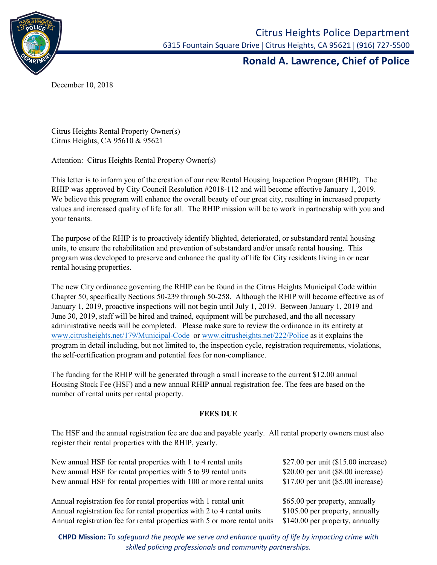

## **Ronald A. Lawrence, Chief of Police**

December 10, 2018

Citrus Heights Rental Property Owner(s) Citrus Heights, CA 95610 & 95621

Attention: Citrus Heights Rental Property Owner(s)

This letter is to inform you of the creation of our new Rental Housing Inspection Program (RHIP). The RHIP was approved by City Council Resolution #2018-112 and will become effective January 1, 2019. We believe this program will enhance the overall beauty of our great city, resulting in increased property values and increased quality of life for all. The RHIP mission will be to work in partnership with you and your tenants.

The purpose of the RHIP is to proactively identify blighted, deteriorated, or substandard rental housing units, to ensure the rehabilitation and prevention of substandard and/or unsafe rental housing. This program was developed to preserve and enhance the quality of life for City residents living in or near rental housing properties.

The new City ordinance governing the RHIP can be found in the Citrus Heights Municipal Code within Chapter 50, specifically Sections 50-239 through 50-258. Although the RHIP will become effective as of January 1, 2019, proactive inspections will not begin until July 1, 2019. Between January 1, 2019 and June 30, 2019, staff will be hired and trained, equipment will be purchased, and the all necessary administrative needs will be completed. Please make sure to review the ordinance in its entirety at [www.citrusheights.net/179/Municipal-Code](http://www.citrusheights.net/179/Municipal-Code) or [www.citrusheights.net/222/Police](http://www.citrusheights.net/222/Police) as it explains the program in detail including, but not limited to, the inspection cycle, registration requirements, violations, the self-certification program and potential fees for non-compliance.

The funding for the RHIP will be generated through a small increase to the current \$12.00 annual Housing Stock Fee (HSF) and a new annual RHIP annual registration fee. The fees are based on the number of rental units per rental property.

## **FEES DUE**

The HSF and the annual registration fee are due and payable yearly. All rental property owners must also register their rental properties with the RHIP, yearly.

| New annual HSF for rental properties with 1 to 4 rental units             | \$27.00 per unit (\$15.00 increase)  |
|---------------------------------------------------------------------------|--------------------------------------|
| New annual HSF for rental properties with 5 to 99 rental units            | \$20.00 per unit $(\$8.00$ increase) |
| New annual HSF for rental properties with 100 or more rental units        | \$17.00 per unit $(\$5.00$ increase) |
|                                                                           |                                      |
| Annual registration fee for rental properties with 1 rental unit          | \$65.00 per property, annually       |
| Annual registration fee for rental properties with 2 to 4 rental units    | \$105.00 per property, annually      |
| Annual registration fee for rental properties with 5 or more rental units | \$140.00 per property, annually      |
|                                                                           |                                      |

**CHPD Mission:** *To safeguard the people we serve and enhance quality of life by impacting crime with skilled policing professionals and community partnerships.*